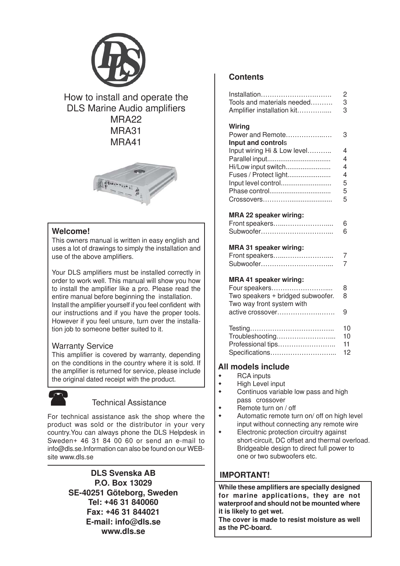

How to install and operate the DLS Marine Audio amplifiers MRA22 MRA31 MRA41



#### **Welcome!**

This owners manual is written in easy english and uses a lot of drawings to simply the installation and use of the above amplifiers.

Your DLS amplifiers must be installed correctly in order to work well. This manual will show you how to install the amplifier like a pro. Please read the entire manual before beginning the installation. Install the amplifier yourself if you feel confident with our instructions and if you have the proper tools. However if you feel unsure, turn over the installation job to someone better suited to it.

#### Warranty Service

This amplifier is covered by warranty, depending on the conditions in the country where it is sold. If the amplifier is returned for service, please include the original dated receipt with the product.



### Technical Assistance

For technical assistance ask the shop where the product was sold or the distributor in your very country.You can always phone the DLS Helpdesk in Sweden+ 46 31 84 00 60 or send an e-mail to info@dls.se.Information can also be found on our WEBsite www.dls.se

> **DLS Svenska AB P.O. Box 13029 SE-40251 Göteborg, Sweden Tel: +46 31 840060 Fax: +46 31 844021 E-mail: info@dls.se www.dls.se**

#### **Contents**

| Installation<br>Tools and materials needed<br>Amplifier installation kit | $\overline{c}$<br>3<br>3 |
|--------------------------------------------------------------------------|--------------------------|
| Wiring<br>Power and Remote<br>Input and controls                         | 3                        |
| Input wiring Hi & Low level                                              | 4                        |
|                                                                          | 4                        |
| Hi/Low input switch                                                      | 4                        |
| Fuses / Protect light                                                    | 4                        |
| Input level control                                                      | 5                        |
| Phase control                                                            | 5<br>5                   |
|                                                                          |                          |
| MRA 22 speaker wiring:<br>Front speakers<br>Subwoofer                    | 6<br>6                   |
|                                                                          |                          |
| MRA 31 speaker wiring:<br>Front speakers<br>Subwoofer                    | 7<br>7                   |
| MRA 41 speaker wiring:                                                   |                          |
| Four speakers                                                            | 8                        |
| Two speakers + bridged subwoofer.<br>Two way front system with           | 8                        |
| active crossover                                                         | 9                        |
| Troubleshooting<br>Professional tips<br>Specifications                   | 10<br>10<br>11<br>12     |
|                                                                          |                          |

#### **All models include**

- ◆ RCA inputs
- **+** High Level input
- Continuos variable low pass and high pass crossover
- Remote turn on / off
- Automatic remote turn on/ off on high level input without connecting any remote wire
- Electronic protection circuitry against short-circuit, DC offset and thermal overload. Bridgeable design to direct full power to one or two subwoofers etc.

# **IMPORTANT!**

**While these amplifiers are specially designed for marine applications, they are not waterproof and should not be mounted where it is likely to get wet.**

**The cover is made to resist moisture as well as the PC-board.**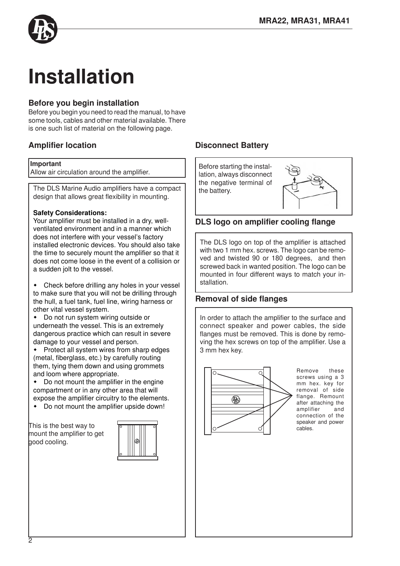

# **Installation**

# **Before you begin installation**

Before you begin you need to read the manual, to have some tools, cables and other material available. There is one such list of material on the following page.

# **Amplifier location**

#### **Important**

Allow air circulation around the amplifier.

The DLS Marine Audio amplifiers have a compact  $\vert \vert$  the battery. design that allows great flexibility in mounting.

#### **Safety Considerations:**

Your amplifier must be installed in a dry, wellventilated environment and in a manner which does not interfere with your vessel's factory installed electronic devices. You should also take the time to securely mount the amplifier so that it does not come loose in the event of a collision or a sudden jolt to the vessel.

 Check before drilling any holes in your vessel to make sure that you will not be drilling through the hull, a fuel tank, fuel line, wiring harness or other vital vessel system.

 Do not run system wiring outside or underneath the vessel. This is an extremely dangerous practice which can result in severe damage to your vessel and person.

 Protect all system wires from sharp edges (metal, fiberglass, etc.) by carefully routing them, tying them down and using grommets and loom where appropriate.

 Do not mount the amplifier in the engine compartment or in any other area that will expose the amplifier circuitry to the elements.

Do not mount the amplifier upside down!

mount the amplifier to get bood coolina.



# **Disconnect Battery**

Before starting the installation, always disconnect the negative terminal of



### **DLS logo on amplifier cooling flange**

The DLS logo on top of the amplifier is attached with two 1 mm hex. screws. The logo can be removed and twisted 90 or 180 degrees, and then screwed back in wanted position. The logo can be mounted in four different ways to match your installation.

#### **Removal of side flanges**

In order to attach the amplifier to the surface and connect speaker and power cables, the side flanges must be removed. This is done by removing the hex screws on top of the amplifier. Use a 3 mm hex key.



Remove these screws using a 3 mm hex. key for removal of side flange. Remount after attaching the amplifier and connection of the speaker and power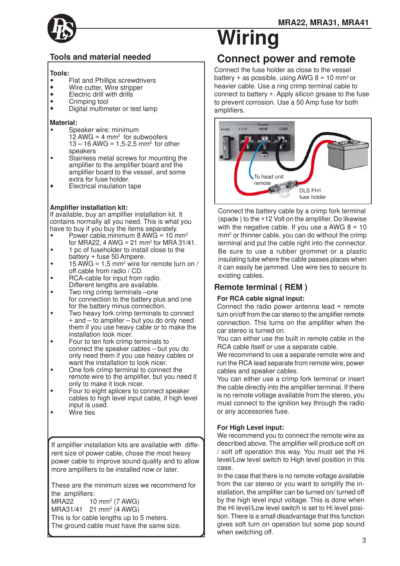

# **Tools and material needed**

#### **Tools:**

- Flat and Phillips screwdrivers<br>• Wire cutter Wire stripper
- Wire cutter, Wire stripper<br>• Flectric drill with drills
- Electric drill with drills<br>• Crimping tool
- ◆ Crimping tool
- Digital multimeter or test lamp

#### **Material:**

- Speaker wire: minimum  $12$  AWG = 4 mm<sup>2</sup> for subwoofers  $13 - 16$  AWG = 1,5-2,5 mm<sup>2</sup> for other speakers
- Stainless metal screws for mounting the amplifier to the amplifier board and the amplifier board to the vessel, and some extra for fuse holder.
- Electrical insulation tape

#### **Amplifier installation kit:**

If available, buy an amplifier installation kit. It contains normally all you need. This is what you have to buy if you buy the items separately.

- Power cable, minimum 8 AWG =  $10 \text{ mm}^2$
- for MRA22, 4 AWG = 21 mm $^2$  for MRA 31/41. 1 pc of fuseholder to install close to the
- battery + fuse 50 Ampere.  $\bullet$  15 AWG = 1,5 mm<sup>2</sup> wire for remote turn on /
- off cable from radio / CD.
- RCA-cable for input from radio. Different lengths are available.
- Two ring crimp terminals –one for connection to the battery plus and one
- for the battery minus connection.
- Two heavy fork crimp terminals to connect + and – to amplifer – but you do only need them if you use heavy cable or to make the installation look nicer.
- Four to ten fork crimp terminals to connect the speaker cables – but you do only need them if you use heavy cables or want the installation to look nicer.
- One fork crimp terminal to connect the remote wire to the amplifier, but you need it only to make it look nicer.
- Four to eight splicers to connect speaker cables to high level input cable, if high level input is used.
- Wire ties

If amplifier installation kits are available with different size of power cable, chose the most heavy power cable to improve sound quality and to allow more amplifiers to be installed now or later.

These are the minimum sizes we recommend for the amplifiers:

 $MRA22$  10 mm<sup>2</sup> (7 AWG)  $MRA31/41$  21 mm<sup>2</sup> (4 AWG) This is for cable lengths up to 5 meters. The ground cable must have the same size.

# **Wiring**

# **Connect power and remote**

Connect the fuse holder as close to the vessel battery + as possible, using AWG  $8 = 10$  mm<sup>2</sup> or heavier cable. Use a ring crimp terminal cable to connect to battery +. Apply silicon grease to the fuse to prevent corrosion. Use a 50 Amp fuse for both amplifiers.



Connect the battery cable by a crimp fork terminal (spade ) to the +12 Volt on the amplifier. Do likewise with the negative cable. If you use a AWG  $8 = 10$ mm2 or thinner cable, you can do without the crimp terminal and put the cable right into the connector. Be sure to use a rubber grommet or a plastic insulating tube where the cable passes places when it can easily be jammed. Use wire ties to secure to existing cables.

# **Remote terminal ( REM )**

#### **For RCA cable signal input:**

Connect the radio power antenna lead  $=$  remote turn on/off from the car stereo to the amplifier remote connection. This turns on the amplifier when the car stereo is turned on.

You can either use the built in remote cable in the RCA cable itself or use a separate cable.

We recommend to use a separate remote wire and run the RCA lead separate from remote wire, power cables and speaker cables.

You can either use a crimp fork terminal or insert the cable directly into the amplifier terminal. If there is no remote voltage available from the stereo, you must connect to the ignition key through the radio or any accessories fuse.

#### **For High Level input:**

We recommend you to connect the remote wire as described above. The amplifier will produce soft on / soft off operation this way. You must set the Hi level/Low level switch to High level position in this case.

In the case that there is no remote voltage available from the car stereo or you want to simplify the installation, the amplifier can be turned on/ turned off by the high level input voltage. This is done when the Hi level/Low level switch is set to Hi level position. There is a small disadvantage that this function gives soft turn on operation but some pop sound when switching off.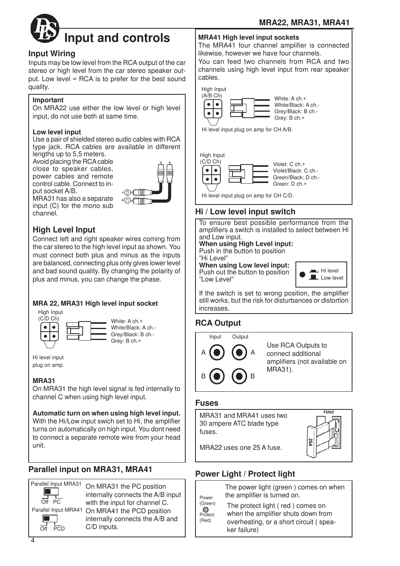

### **Input Wiring**

Inputs may be low level from the RCA output of the car stereo or high level from the car stereo speaker output. Low level = RCA is to prefer for the best sound quality.

#### **Important**

On MRA22 use either the low level or high level input, do not use both at same time.

#### **Low level input**

Use a pair of shielded stereo audio cables with RCA type jack. RCA cables are available in different lengths up to 5,5 meters.

Avoid placing the RCA cable close to speaker cables, power cables and remote control cable. Connect to input socket A/B.



# **High Level Input**

Connect left and right speaker wires coming from the car stereo to the high level input as shown. You must connect both plus and minus as the inputs are balanced, connecting plus only gives lower level and bad sound quality. By changing the polarity of plus and minus, you can change the phase.

### **MRA 22, MRA31 High level input socket**

High Input



⊚∉⊟⊪ •©£Г 1 MM

Hi level input plug on amp.

 $\bullet$ 

### **MRA31**

On MRA31 the high level signal is fed internally to channel C when using high level input.

#### **Automatic turn on when using high level input.** With the Hi/Low input swich set to Hi, the amplifier turns on automatically on high input. You dont need

to connect a separate remote wire from your head unit.

# **Parallel input on MRA31, MRA41**



On MRA31 the PC position internally connects the A/B input with the input for channel C. Parallel Input MRA41 On MRA41 the PCD position internally connects the A/B and C/D inputs.

#### **MRA41 High level input sockets**

The MRA41 four channel amplifier is connected likewise, however we have four channels. You can feed two channels from RCA and two channels using high level input from rear speaker cables.



Hi level input plug on amp for CH A/B.

# High Input<br>(C/D Ch)



# **Hi / Low level input switch**

To ensure best possible performance from the amplifiers a switch is installed to select between Hi and Low input.

### **When using High Level input:**

Push in the button to position

"Hi Level" **When using Low level input:** Push out the button to position "Low Level"



If the switch is set to wrong position, the amplifier still works, but the risk for disturbances or distortion increases.

# **RCA Output**



### **Fuses**



# **Power Light / Protect light**

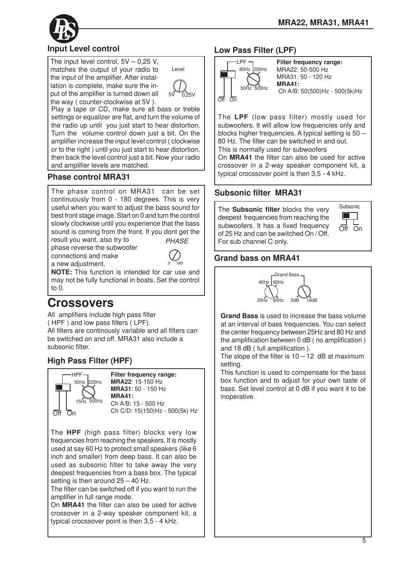

# **Input Level control**

The input level control,  $5V - 0.25$  V, matches the output of your radio to the input of the amplifier. After installation is complete, make sure the input of the amplifier is turned down all the way ( counter-clockwise at 5V ).



Play a tape or CD, make sure all bass or treble settings or equalizer are flat, and turn the volume of the radio up until you just start to hear distortion. Turn the volume control down just a bit. On the amplifier increase the input level control ( clockwise or to the right ) until you just start to hear distortion, then back the level control just a bit. Now your radio and amplifier levels are matched.

# **Phase control MRA31**

The phase control on MRA31 can be set continuously from 0 - 180 degrees. This is very useful when you want to adjust the bass sound for best front stage image. Start on 0 and turn the control slowly clockwise until you experience that the bass sound is coming from the front. If you dont get the *PHASE*

result you want, also try to phase reverse the subwoofer connections and make a new adjustment.



**NOTE:** This function is intended for car use and may not be fully functional in boats. Set the control to 0.

# **Crossovers**

All amplifiers include high pass filter ( HPF ) and low pass filters ( LPF). All filters are continously variable and all filters can be switched on and off. MRA31 also include a subsonic filter.

# **High Pass Filter (HPF)**



**Filter frequency range: MRA22**: 15-150 Hz **MRA31**: 50 - 150 Hz **MRA41:** Ch A/B: 15 - 500 Hz Ch C/D: 15(150)Hz - 500(5k) Hz

The **HPF** (high pass filter) blocks very low frequencies from reaching the speakers. It is mostly used at say 60 Hz to protect small speakers (like 6 inch and smaller) from deep bass. It can also be used as subsonic filter to take away the very deepest frequencies from a bass box. The typical setting is then around  $25 - 40$  Hz.

The filter can be switched off if you want to run the amplifier in full range mode.

On **MRA41** the filter can also be used for active crossover in a 2-way speaker component kit, a typical crocssover point is then 3,5 - 4 kHz.

# **Low Pass Filter (LPF)**



**Filter frequency range:** MRA22: 50-500 Hz MRA31: 50 - 120 Hz **MRA41:** Ch A/B: 50(500)Hz - 500(5k)Hz

The **LPF** (low pass filter) mostly used for subwoofers. It will allow low frequencies only and blocks higher frequencies. A typical setting is 50 – 80 Hz. The filter can be switched in and out. This is normally used for subwoofers

On **MRA41** the filter can also be used for active crossover in a 2-way speaker component kit, a typical crocssover point is then 3,5 - 4 kHz.

# **Subsonic filter MRA31**

The **Subsonic filter** blocks the very deepest frequencies from reaching the subwoofers. It has a fixed frequency of 25 Hz and can be switched On / Off. For sub channel C only.



# **Grand bass on MRA41**



**Grand Bass** is used to increase the bass volume at an interval of bass frequencies. You can select the center frequency between 25Hz and 80 Hz and the amplification between 0 dB ( no amplification ) and 18 dB ( full amplification ).

The slope of the filter is  $10 - 12$  dB at maximum setting.

This function is used to compensate for the bass box function and to adjust for your own taste of bass. Set level control at 0 dB if you want it to be inoperative.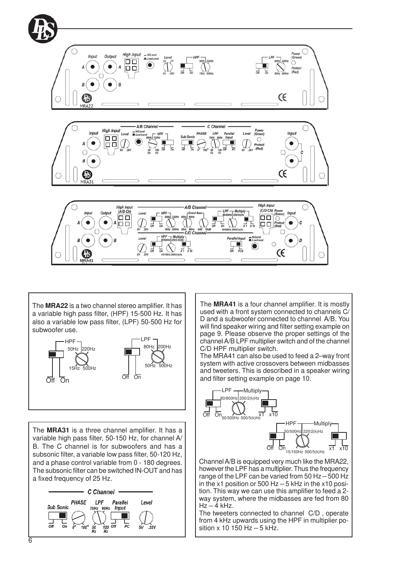

The **MRA22** is a two channel stereo amplifier. It has a variable high pass filter, (HPF) 15-500 Hz. It has also a variable low pass filter, (LPF) 50-500 Hz for subwoofer use.



The **MRA31** is a three channel amplifier. It has a variable high pass filter, 50-150 Hz, for channel A/ B. The C channel is for subwoofers and has a subsonic filter, a variable low pass filter, 50-120 Hz, and a phase control variable from 0 - 180 degrees. The subsonic filter can be switched IN-OUT and has a fixed frequency of 25 Hz.



The **MRA41** is a four channel amplifier. It is mostly used with a front system connected to channels C/ D and a subwoofer connected to channel A/B. You will find speaker wiring and filter setting example on page 9. Please observe the proper settings of the channel A/B LPF multiplier switch and of the channel C/D HPF multiplier switch.

The MRA41 can also be used to feed a 2–way front system with active crossovers between midbasses and tweeters. This is described in a speaker wiring and filter setting example on page 10.



Channel A/B is equipped very much like the MRA22, however the LPF has a multiplier. Thus the frequency range of the LPF can be varied from 50 Hz $-$ 500 Hz in the x1 position or 500 Hz  $-$  5 kHz in the x10 position. This way we can use this amplifier to feed a 2 way system, where the midbasses are fed from 80  $Hz - 4$  kHz.

The tweeters connected to channel C/D , operate from 4 kHz upwards using the HPF in multiplier position x 10 150 Hz  $-$  5 kHz.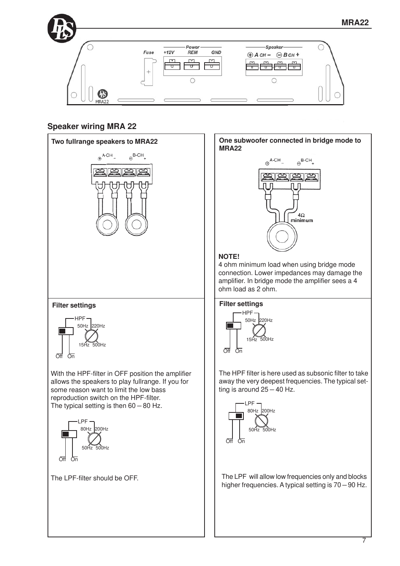

# **Speaker wiring MRA 22**

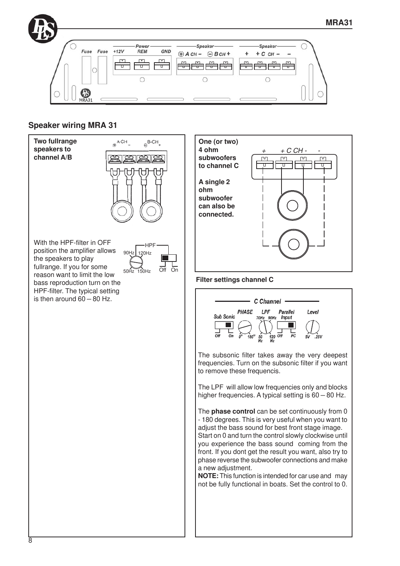

#### **Speaker wiring MRA 31**

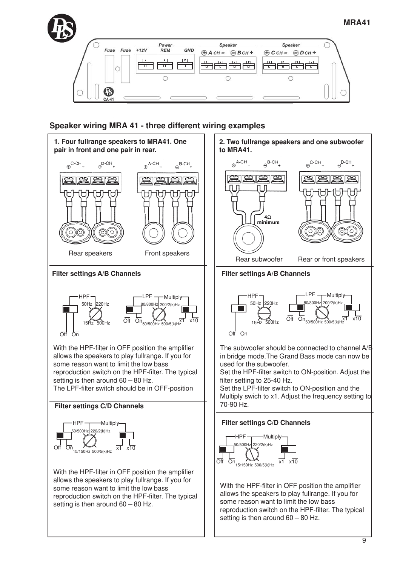



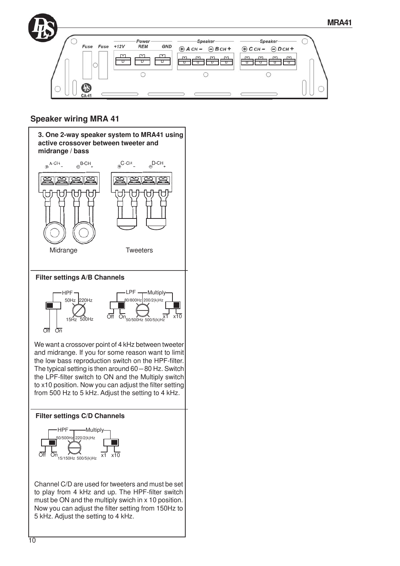# **Speaker wiring MRA 41**

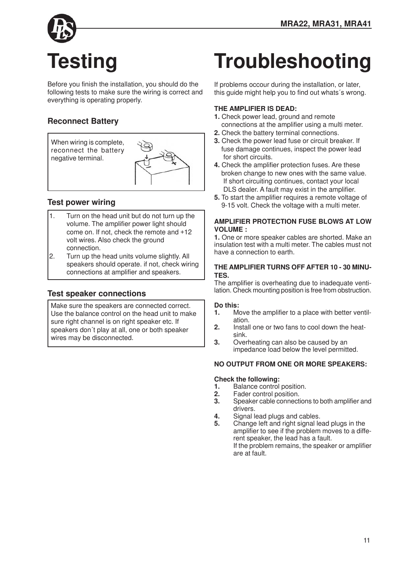

Before you finish the installation, you should do the following tests to make sure the wiring is correct and everything is operating properly.

# **Reconnect Battery**



# **Test power wiring**

- 1. Turn on the head unit but do not turn up the volume. The amplifier power light should come on. If not, check the remote and +12 volt wires. Also check the ground connection.
- 2. Turn up the head units volume slightly. All speakers should operate. if not, check wiring connections at amplifier and speakers.

# **Test speaker connections**

Make sure the speakers are connected correct. Use the balance control on the head unit to make sure right channel is on right speaker etc. If speakers don´t play at all, one or both speaker wires may be disconnected.

# **Troubleshooting**

If problems occour during the installation, or later, this guide might help you to find out whats´s wrong.

#### **THE AMPLIFIER IS DEAD:**

- **1.** Check power lead, ground and remote connections at the amplifier using a multi meter.
- **2.** Check the battery terminal connections.
- **3.** Check the power lead fuse or circuit breaker. If fuse damage continues, inspect the power lead for short circuits.
- **4.** Check the amplifier protection fuses. Are these broken change to new ones with the same value. If short circuiting continues, contact your local DLS dealer. A fault may exist in the amplifier.
- **5.** To start the amplifier requires a remote voltage of 9-15 volt. Check the voltage with a multi meter.

#### **AMPLIFIER PROTECTION FUSE BLOWS AT LOW VOLUME :**

**1.** One or more speaker cables are shorted. Make an insulation test with a multi meter. The cables must not have a connection to earth.

#### **THE AMPLIFIER TURNS OFF AFTER 10 - 30 MINU-TES.**

The amplifier is overheating due to inadequate ventilation. Check mounting position is free from obstruction.

# **Do this:**

- **1.** Move the amplifier to a place with better ventilation.
- **2.** Install one or two fans to cool down the heatsink.
- **3.** Overheating can also be caused by an impedance load below the level permitted.

#### **NO OUTPUT FROM ONE OR MORE SPEAKERS:**

#### **Check the following:**

- **1.** Balance control position.
- **2.** Fader control position.<br>**3.** Speaker cable connect
- **3.** Speaker cable connections to both amplifier and drivers.
- **4.** Signal lead plugs and cables.<br>**5.** Change left and right signal leg
- **5.** Change left and right signal lead plugs in the amplifier to see if the problem moves to a different speaker, the lead has a fault. If the problem remains, the speaker or amplifier are at fault.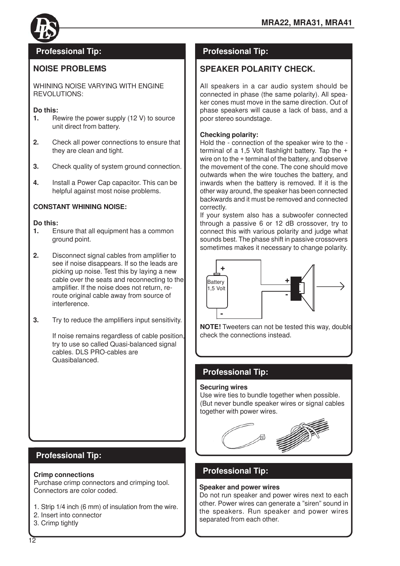

## **NOISE PROBLEMS**

WHINING NOISE VARYING WITH ENGINE REVOLUTIONS:

#### **Do this:**

- **1.** Rewire the power supply (12 V) to source unit direct from battery.
- **2.** Check all power connections to ensure that they are clean and tight.
- **3.** Check quality of system ground connection.
- **4.** Install a Power Cap capacitor. This can be helpful against most noise problems.

#### **CONSTANT WHINING NOISE:**

#### **Do this:**

- **1.** Ensure that all equipment has a common ground point.
- **2.** Disconnect signal cables from amplifier to see if noise disappears. If so the leads are picking up noise. Test this by laying a new cable over the seats and reconnecting to the amplifier. If the noise does not return, reroute original cable away from source of interference.
- **3.** Try to reduce the amplifiers input sensitivity.

If noise remains regardless of cable position, try to use so called Quasi-balanced signal cables. DLS PRO-cables are Quasibalanced.

# **Professional Tip:**

#### **Crimp connections**

Purchase crimp connectors and crimping tool. Connectors are color coded.

- 1. Strip 1/4 inch (6 mm) of insulation from the wire.
- 2. Insert into connector
- 3. Crimp tightly

# **Professional Tip: Professional Tip:**

### **SPEAKER POLARITY CHECK.**

All speakers in a car audio system should be connected in phase (the same polarity). All speaker cones must move in the same direction. Out of phase speakers will cause a lack of bass, and a poor stereo soundstage.

#### **Checking polarity:**

Hold the - connection of the speaker wire to the terminal of a 1,5 Volt flashlight battery. Tap the + wire on to the + terminal of the battery, and observe the movement of the cone. The cone should move outwards when the wire touches the battery, and inwards when the battery is removed. If it is the other way around, the speaker has been connected backwards and it must be removed and connected correctly.

If your system also has a subwoofer connected through a passive 6 or 12 dB crossover, try to connect this with various polarity and judge what sounds best. The phase shift in passive crossovers sometimes makes it necessary to change polarity.



**NOTE!** Tweeters can not be tested this way, double check the connections instead.

# **Professional Tip:**

#### **Securing wires**

Use wire ties to bundle together when possible. (But never bundle speaker wires or signal cables together with power wires.

# **Professional Tip:**

#### **Speaker and power wires**

Do not run speaker and power wires next to each other. Power wires can generate a "siren" sound in the speakers. Run speaker and power wires separated from each other.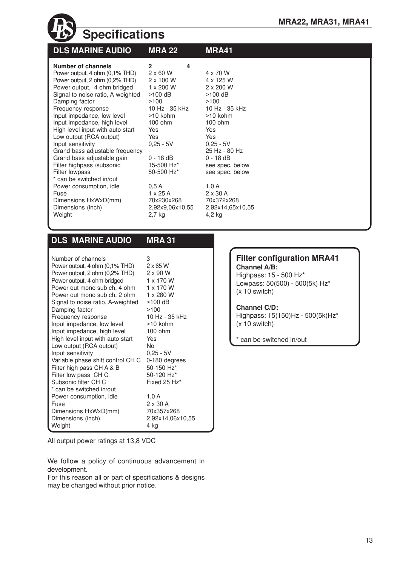| <b>Specifications</b>                                                                                                                                                                                                                                                                                                                                                                                                                                                                           |                                                                                                                                                                                                                          |                                                                                                                                                                                                                |  |  |
|-------------------------------------------------------------------------------------------------------------------------------------------------------------------------------------------------------------------------------------------------------------------------------------------------------------------------------------------------------------------------------------------------------------------------------------------------------------------------------------------------|--------------------------------------------------------------------------------------------------------------------------------------------------------------------------------------------------------------------------|----------------------------------------------------------------------------------------------------------------------------------------------------------------------------------------------------------------|--|--|
| <b>DLS MARINE AUDIO</b>                                                                                                                                                                                                                                                                                                                                                                                                                                                                         | <b>MRA 22</b>                                                                                                                                                                                                            | <b>MRA41</b>                                                                                                                                                                                                   |  |  |
| Number of channels<br>Power output, 4 ohm (0,1% THD)<br>Power output, 2 ohm (0,2% THD)<br>Power output, 4 ohm bridged<br>Signal to noise ratio, A-weighted<br>Damping factor<br>Frequency response<br>Input impedance, low level<br>Input impedance, high level<br>High level input with auto start<br>Low output (RCA output)<br>Input sensitivity<br>Grand bass adjustable frequency<br>Grand bass adjustable gain<br>Filter highpass /subsonic<br>Filter lowpass<br>* can be switched in/out | $\overline{2}$<br>4<br>$2 \times 60$ W<br>$2 \times 100$ W<br>$1 \times 200$ W<br>$>100$ dB<br>>100<br>10 Hz - 35 kHz<br>$>10$ kohm<br>$100$ ohm<br>Yes<br>Yes<br>$0,25 - 5V$<br>$0 - 18$ dB<br>15-500 Hz*<br>50-500 Hz* | 4 x 70 W<br>4 x 125 W<br>$2 \times 200$ W<br>$>100$ dB<br>>100<br>10 Hz - 35 kHz<br>$>10$ kohm<br>$100$ ohm<br>Yes<br>Yes<br>$0,25 - 5V$<br>25 Hz - 80 Hz<br>$0 - 18$ dB<br>see spec. below<br>see spec. below |  |  |
| Power consumption, idle<br>Fuse<br>Dimensions HxWxD(mm)                                                                                                                                                                                                                                                                                                                                                                                                                                         | 0.5A<br>$1 \times 25$ A<br>70x230x268                                                                                                                                                                                    | 1,0A<br>$2 \times 30$ A<br>70x372x268                                                                                                                                                                          |  |  |
| Dimensions (inch)<br>Weight                                                                                                                                                                                                                                                                                                                                                                                                                                                                     | 2,92x9,06x10,55<br>$2,7$ kg                                                                                                                                                                                              | 2,92x14,65x10,55<br>4,2 kg                                                                                                                                                                                     |  |  |

# **DLS MARINE AUDIO MRA 31**

| Number of channels                | 3                |
|-----------------------------------|------------------|
| Power output, 4 ohm (0,1% THD)    | $2 \times 65$ W  |
| Power output, 2 ohm (0,2% THD)    | $2 \times 90$ W  |
| Power output, 4 ohm bridged       | 1 x 170 W        |
| Power out mono sub ch. 4 ohm      | 1 x 170 W        |
| Power out mono sub ch. 2 ohm      | 1 x 280 W        |
| Signal to noise ratio, A-weighted | >100 dB          |
| Damping factor                    | >100             |
| Frequency response                | 10 Hz - 35 kHz   |
| Input impedance, low level        | >10 kohm         |
| Input impedance, high level       | $100$ ohm        |
| High level input with auto start  | Yes              |
| Low output (RCA output)           | No               |
| Input sensitivity                 | $0,25 - 5V$      |
| Variable phase shift control CH C | 0-180 degrees    |
| Filter high pass CH A & B         | 50-150 Hz*       |
| Filter low pass CHC               | 50-120 Hz*       |
| Subsonic filter CH C              | Fixed 25 Hz*     |
| * can be switched in/out          |                  |
| Power consumption, idle           | 1,0A             |
| Fuse                              | $2 \times 30$ A  |
| Dimensions HxWxD(mm)              | 70x357x268       |
| Dimensions (inch)                 | 2,92x14,06x10,55 |
| Weight                            | 4 ka             |

**Filter configuration MRA41 Channel A/B:**

Highpass: 15 - 500 Hz\* Lowpass: 50(500) - 500(5k) Hz\*  $(x 10$  switch)

#### **Channel C/D:**

Highpass: 15(150)Hz - 500(5k)Hz\*  $(x 10$  switch)

\* can be switched in/out

All output power ratings at 13,8 VDC

We follow a policy of continuous advancement in development.

For this reason all or part of specifications & designs may be changed without prior notice.